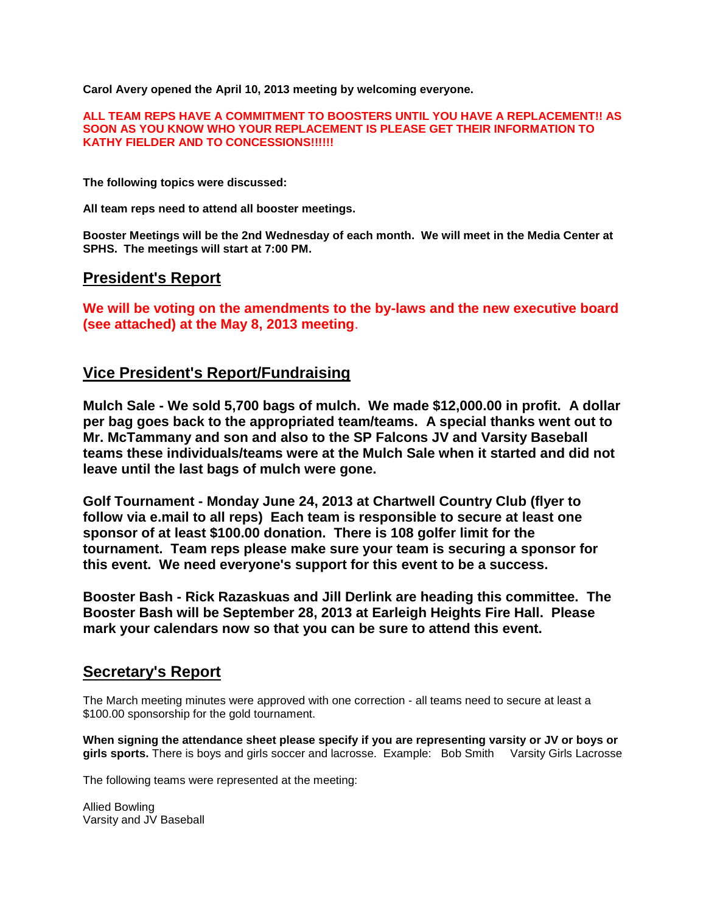**Carol Avery opened the April 10, 2013 meeting by welcoming everyone.**

#### **ALL TEAM REPS HAVE A COMMITMENT TO BOOSTERS UNTIL YOU HAVE A REPLACEMENT!! AS SOON AS YOU KNOW WHO YOUR REPLACEMENT IS PLEASE GET THEIR INFORMATION TO KATHY FIELDER AND TO CONCESSIONS!!!!!!**

**The following topics were discussed:**

**All team reps need to attend all booster meetings.**

**Booster Meetings will be the 2nd Wednesday of each month. We will meet in the Media Center at SPHS. The meetings will start at 7:00 PM.**

### **President's Report**

**We will be voting on the amendments to the by-laws and the new executive board (see attached) at the May 8, 2013 meeting**.

### **Vice President's Report/Fundraising**

**Mulch Sale - We sold 5,700 bags of mulch. We made \$12,000.00 in profit. A dollar per bag goes back to the appropriated team/teams. A special thanks went out to Mr. McTammany and son and also to the SP Falcons JV and Varsity Baseball teams these individuals/teams were at the Mulch Sale when it started and did not leave until the last bags of mulch were gone.** 

**Golf Tournament - Monday June 24, 2013 at Chartwell Country Club (flyer to follow via e.mail to all reps) Each team is responsible to secure at least one sponsor of at least \$100.00 donation. There is 108 golfer limit for the tournament. Team reps please make sure your team is securing a sponsor for this event. We need everyone's support for this event to be a success.**

**Booster Bash - Rick Razaskuas and Jill Derlink are heading this committee. The Booster Bash will be September 28, 2013 at Earleigh Heights Fire Hall. Please mark your calendars now so that you can be sure to attend this event.**

## **Secretary's Report**

The March meeting minutes were approved with one correction - all teams need to secure at least a \$100.00 sponsorship for the gold tournament.

**When signing the attendance sheet please specify if you are representing varsity or JV or boys or girls sports.** There is boys and girls soccer and lacrosse. Example: Bob Smith Varsity Girls Lacrosse

The following teams were represented at the meeting:

Allied Bowling Varsity and JV Baseball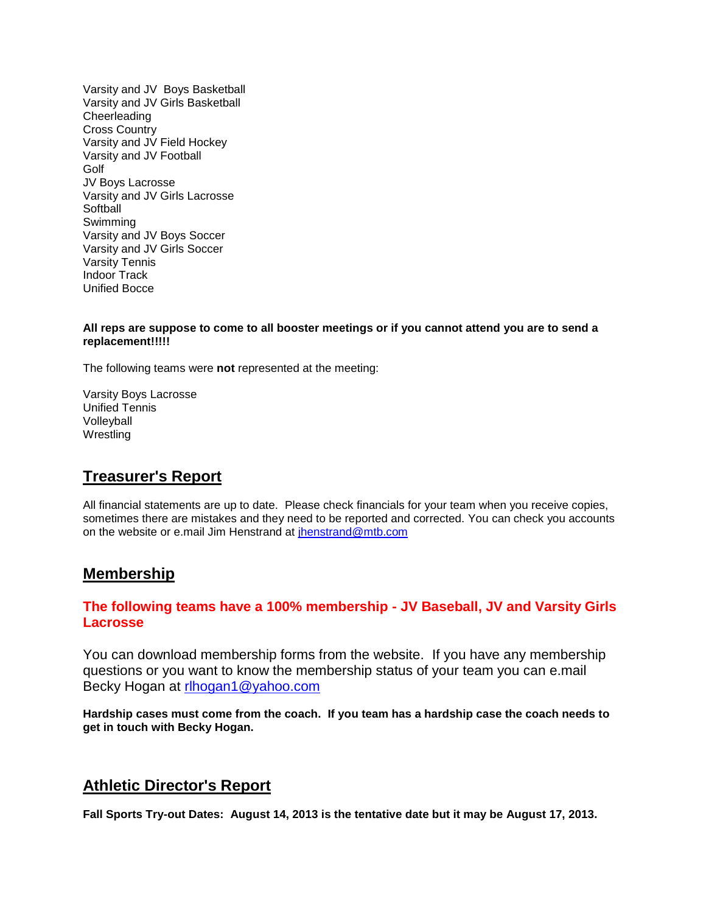Varsity and JV Boys Basketball Varsity and JV Girls Basketball **Cheerleading** Cross Country Varsity and JV Field Hockey Varsity and JV Football Golf JV Boys Lacrosse Varsity and JV Girls Lacrosse **Softball** Swimming Varsity and JV Boys Soccer Varsity and JV Girls Soccer Varsity Tennis Indoor Track Unified Bocce

#### **All reps are suppose to come to all booster meetings or if you cannot attend you are to send a replacement!!!!!**

The following teams were **not** represented at the meeting:

Varsity Boys Lacrosse Unified Tennis Volleyball Wrestling

## **Treasurer's Report**

All financial statements are up to date. Please check financials for your team when you receive copies, sometimes there are mistakes and they need to be reported and corrected. You can check you accounts on the website or e.mail Jim Henstrand at [jhenstrand@mtb.com](mailto:jhenstrand@mtb.com)

### **Membership**

#### **The following teams have a 100% membership - JV Baseball, JV and Varsity Girls Lacrosse**

You can download membership forms from the website. If you have any membership questions or you want to know the membership status of your team you can e.mail Becky Hogan at [rlhogan1@yahoo.com](mailto:rlhogan1@yahoo.com)

**Hardship cases must come from the coach. If you team has a hardship case the coach needs to get in touch with Becky Hogan.**

## **Athletic Director's Report**

**Fall Sports Try-out Dates: August 14, 2013 is the tentative date but it may be August 17, 2013.**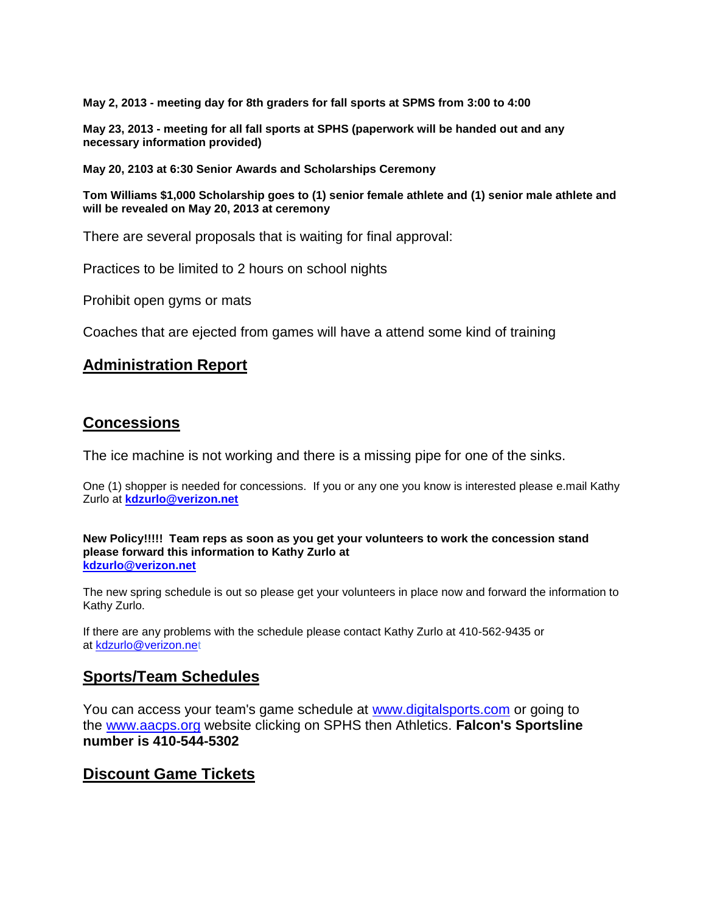**May 2, 2013 - meeting day for 8th graders for fall sports at SPMS from 3:00 to 4:00**

**May 23, 2013 - meeting for all fall sports at SPHS (paperwork will be handed out and any necessary information provided)**

**May 20, 2103 at 6:30 Senior Awards and Scholarships Ceremony**

**Tom Williams \$1,000 Scholarship goes to (1) senior female athlete and (1) senior male athlete and will be revealed on May 20, 2013 at ceremony**

There are several proposals that is waiting for final approval:

Practices to be limited to 2 hours on school nights

Prohibit open gyms or mats

Coaches that are ejected from games will have a attend some kind of training

### **Administration Report**

### **Concessions**

The ice machine is not working and there is a missing pipe for one of the sinks.

One (1) shopper is needed for concessions. If you or any one you know is interested please e.mail Kathy Zurlo at **[kdzurlo@verizon.net](mailto:kdzurlo@verizon.net)**

**New Policy!!!!! Team reps as soon as you get your volunteers to work the concession stand please forward this information to Kathy Zurlo at [kdzurlo@verizon.net](mailto:kdzurlo@verizon.net)**

The new spring schedule is out so please get your volunteers in place now and forward the information to Kathy Zurlo.

If there are any problems with the schedule please contact Kathy Zurlo at 410-562-9435 or at [kdzurlo@verizon.net](mailto:kdzurlo@verizon.net)

### **Sports/Team Schedules**

You can access your team's game schedule at [www.digitalsports.com](http://www.digitalsports.com/) or going to the [www.aacps.org](http://www.aacps.org/) website clicking on SPHS then Athletics. **Falcon's Sportsline number is 410-544-5302**

### **Discount Game Tickets**